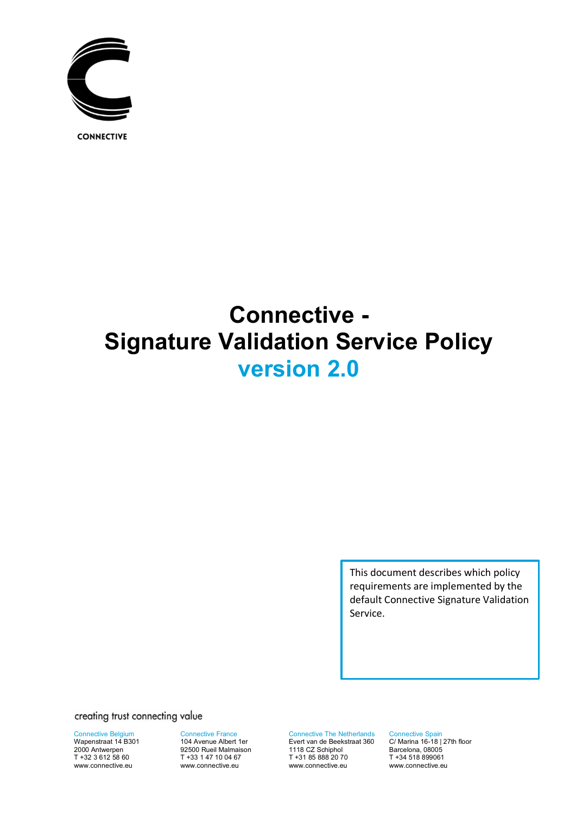

**CONNECTIVE** 

# **Connective - Signature Validation Service Policy version 2.0**

This document describes which policy requirements are implemented by the default Connective Signature Validation Service.

creating trust connecting value

Connective Belgium Wapenstraat 14 B301

2000 Antwerpen T +32 3 612 58 60 www.connective.eu

Connective France 104 Avenue Albert 1er 92500 Rueil Malmaison T +33 1 47 10 04 67 www.connective.eu

Connective The Netherlands Evert van de Beekstraat 360 1118 CZ Schiphol T +31 85 888 20 70 www.connective.eu

Connective Spain C/ Marina 16-18 | 27th floor Barcelona, 08005 T +34 518 899061 www.connective.eu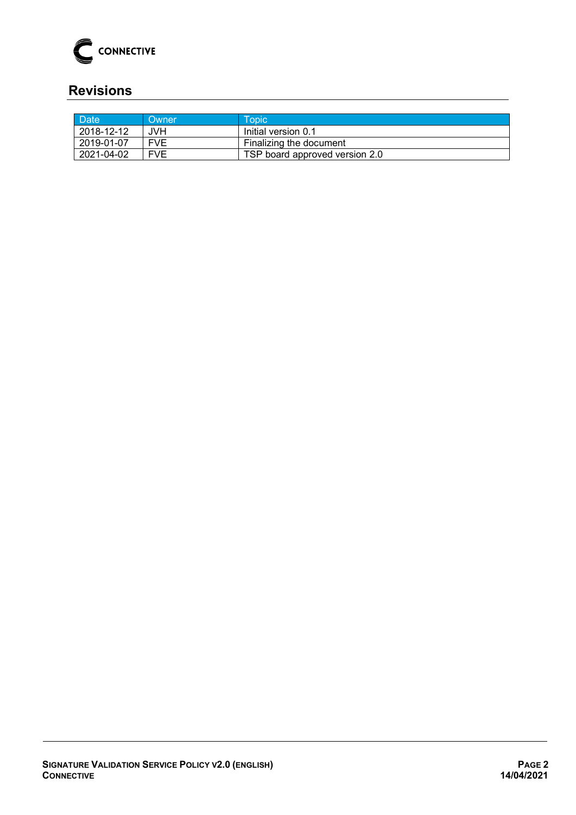

# <span id="page-1-0"></span>**Revisions**

| <b>Date</b> | Owner      | Topic \                        |
|-------------|------------|--------------------------------|
| 2018-12-12  | JVH.       | Initial version 0.1            |
| 2019-01-07  | FVE        | Finalizing the document        |
| 2021-04-02  | <b>FVE</b> | TSP board approved version 2.0 |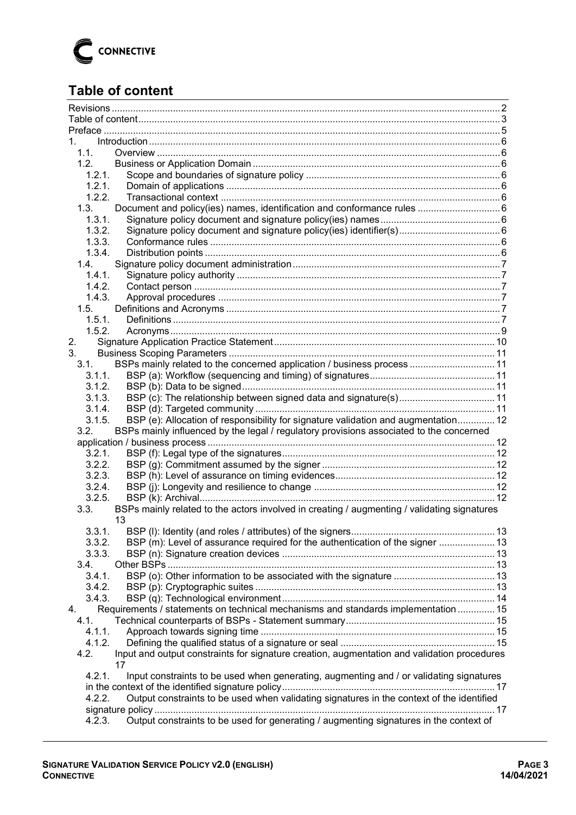

# <span id="page-2-0"></span>**Table of content**

| 1.     |                                                                                             |  |  |
|--------|---------------------------------------------------------------------------------------------|--|--|
| 1.1.   |                                                                                             |  |  |
| 1.2.   |                                                                                             |  |  |
| 1.2.1. |                                                                                             |  |  |
| 1.2.1. |                                                                                             |  |  |
| 1.2.2. |                                                                                             |  |  |
| 1.3.   |                                                                                             |  |  |
| 1.3.1. |                                                                                             |  |  |
| 1.3.2. |                                                                                             |  |  |
| 1.3.3. |                                                                                             |  |  |
| 1.3.4. |                                                                                             |  |  |
| 1.4.   |                                                                                             |  |  |
| 1.4.1. |                                                                                             |  |  |
| 1.4.2. |                                                                                             |  |  |
| 1.4.3. |                                                                                             |  |  |
| 1.5.   |                                                                                             |  |  |
| 1.5.1. |                                                                                             |  |  |
| 1.5.2. |                                                                                             |  |  |
|        |                                                                                             |  |  |
| 2.     |                                                                                             |  |  |
| 3.     |                                                                                             |  |  |
| 3.1.   | BSPs mainly related to the concerned application / business process  11                     |  |  |
| 3.1.1. |                                                                                             |  |  |
| 3.1.2. |                                                                                             |  |  |
| 3.1.3. |                                                                                             |  |  |
| 3.1.4. |                                                                                             |  |  |
| 3.1.5. | BSP (e): Allocation of responsibility for signature validation and augmentation 12          |  |  |
| 3.2.   | BSPs mainly influenced by the legal / regulatory provisions associated to the concerned     |  |  |
|        |                                                                                             |  |  |
| 3.2.1. |                                                                                             |  |  |
| 3.2.2. |                                                                                             |  |  |
| 3.2.3. |                                                                                             |  |  |
| 3.2.4. |                                                                                             |  |  |
| 3.2.5. |                                                                                             |  |  |
| 3.3.   | BSPs mainly related to the actors involved in creating / augmenting / validating signatures |  |  |
|        | 13                                                                                          |  |  |
| 3.3.1. |                                                                                             |  |  |
| 3.3.2. | BSP (m): Level of assurance required for the authentication of the signer  13               |  |  |
| 3.3.3. |                                                                                             |  |  |
| 3.4.   |                                                                                             |  |  |
| 3.4.1. |                                                                                             |  |  |
| 3.4.2. |                                                                                             |  |  |
| 3.4.3. |                                                                                             |  |  |
| 4.     | Requirements / statements on technical mechanisms and standards implementation  15          |  |  |
| 4.1.   |                                                                                             |  |  |
| 4.1.1. |                                                                                             |  |  |
| 4.1.2. |                                                                                             |  |  |
| 4.2.   | Input and output constraints for signature creation, augmentation and validation procedures |  |  |
|        | 17                                                                                          |  |  |
| 4.2.1. | Input constraints to be used when generating, augmenting and / or validating signatures     |  |  |
|        |                                                                                             |  |  |
| 4.2.2. | Output constraints to be used when validating signatures in the context of the identified   |  |  |
|        |                                                                                             |  |  |
| 4.2.3. | Output constraints to be used for generating / augmenting signatures in the context of      |  |  |
|        |                                                                                             |  |  |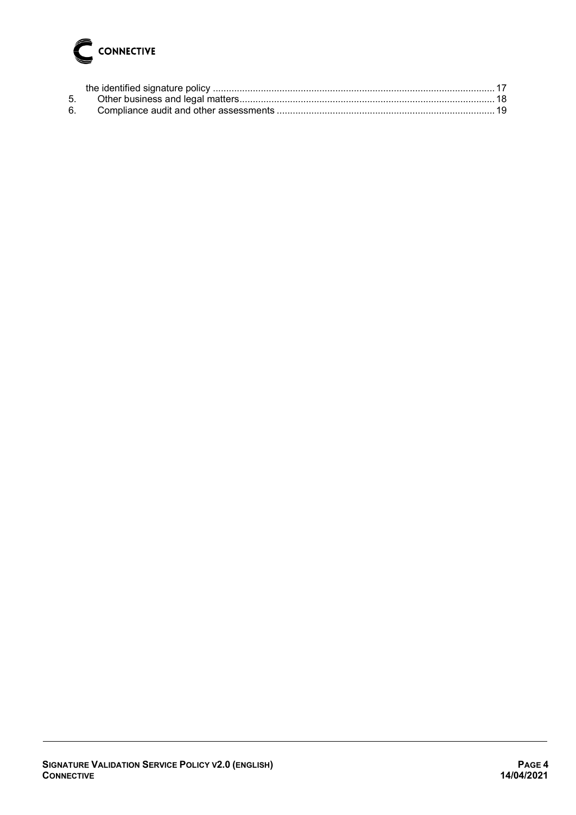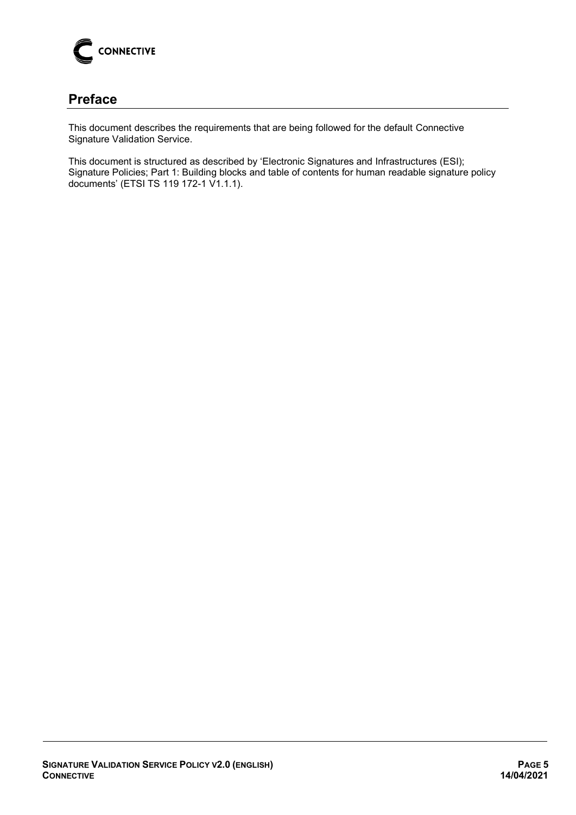

## <span id="page-4-0"></span>**Preface**

This document describes the requirements that are being followed for the default Connective Signature Validation Service.

This document is structured as described by 'Electronic Signatures and Infrastructures (ESI); Signature Policies; Part 1: Building blocks and table of contents for human readable signature policy documents' (ETSI TS 119 172-1 V1.1.1).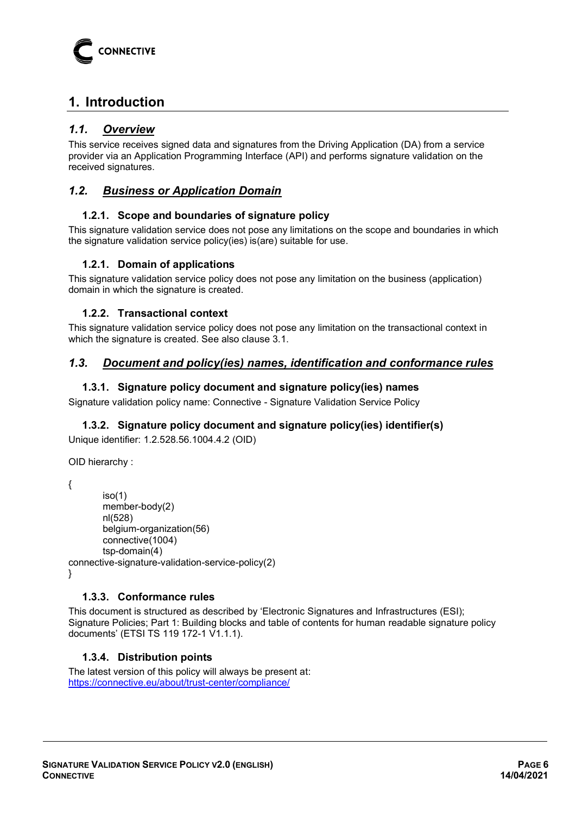

# <span id="page-5-0"></span>**1. Introduction**

## <span id="page-5-1"></span>*1.1. Overview*

This service receives signed data and signatures from the Driving Application (DA) from a service provider via an Application Programming Interface (API) and performs signature validation on the received signatures.

## <span id="page-5-3"></span><span id="page-5-2"></span>*1.2. Business or Application Domain*

#### **1.2.1. Scope and boundaries of signature policy**

This signature validation service does not pose any limitations on the scope and boundaries in which the signature validation service policy(ies) is(are) suitable for use.

#### <span id="page-5-4"></span>**1.2.1. Domain of applications**

This signature validation service policy does not pose any limitation on the business (application) domain in which the signature is created.

#### <span id="page-5-5"></span>**1.2.2. Transactional context**

This signature validation service policy does not pose any limitation on the transactional context in which the signature is created. See also clause [3.1.](#page-10-1)

#### <span id="page-5-7"></span><span id="page-5-6"></span>*1.3. Document and policy(ies) names, identification and conformance rules*

#### **1.3.1. Signature policy document and signature policy(ies) names**

<span id="page-5-8"></span>Signature validation policy name: Connective - Signature Validation Service Policy

#### **1.3.2. Signature policy document and signature policy(ies) identifier(s)**

Unique identifier: 1.2.528.56.1004.4.2 (OID)

OID hierarchy :

{

```
 iso(1) 
         member-body(2) 
         nl(528) 
         belgium-organization(56) 
         connective(1004) 
         tsp-domain(4) 
connective-signature-validation-service-policy(2)
}
```
#### <span id="page-5-9"></span>**1.3.3. Conformance rules**

This document is structured as described by 'Electronic Signatures and Infrastructures (ESI); Signature Policies; Part 1: Building blocks and table of contents for human readable signature policy documents' (ETSI TS 119 172-1 V1.1.1).

#### <span id="page-5-10"></span>**1.3.4. Distribution points**

The latest version of this policy will always be present at: <https://connective.eu/about/trust-center/compliance/>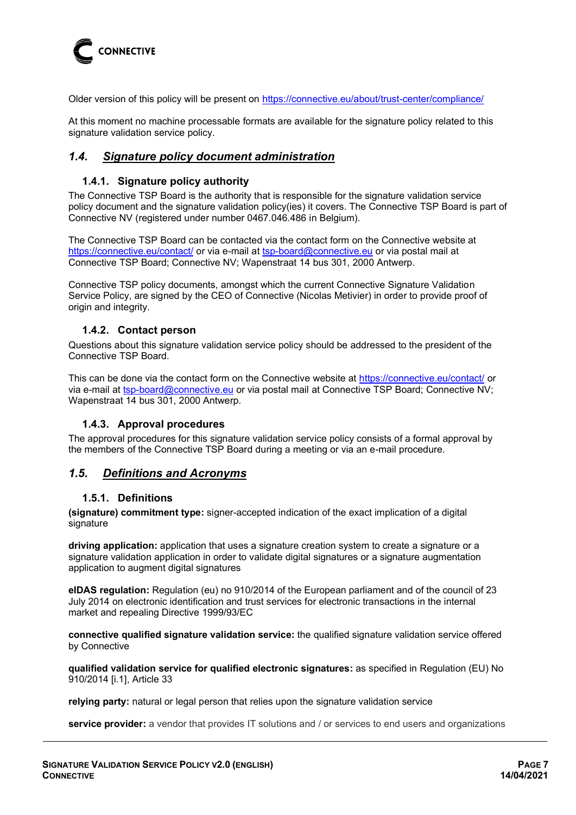

Older version of this policy will be present on<https://connective.eu/about/trust-center/compliance/>

At this moment no machine processable formats are available for the signature policy related to this signature validation service policy.

#### <span id="page-6-1"></span><span id="page-6-0"></span>*1.4. Signature policy document administration*

#### **1.4.1. Signature policy authority**

The Connective TSP Board is the authority that is responsible for the signature validation service policy document and the signature validation policy(ies) it covers. The Connective TSP Board is part of Connective NV (registered under number 0467.046.486 in Belgium).

The Connective TSP Board can be contacted via the contact form on the Connective website at <https://connective.eu/contact/> or via e-mail at [tsp-board@connective.eu](mailto:tsp-board@connective.eu) or via postal mail at Connective TSP Board; Connective NV; Wapenstraat 14 bus 301, 2000 Antwerp.

Connective TSP policy documents, amongst which the current Connective Signature Validation Service Policy, are signed by the CEO of Connective (Nicolas Metivier) in order to provide proof of origin and integrity.

#### <span id="page-6-2"></span>**1.4.2. Contact person**

Questions about this signature validation service policy should be addressed to the president of the Connective TSP Board.

This can be done via the contact form on the Connective website at<https://connective.eu/contact/>or via e-mail at [tsp-board@connective.eu](mailto:tsp-board@connective.eu) or via postal mail at Connective TSP Board; Connective NV; Wapenstraat 14 bus 301, 2000 Antwerp.

#### <span id="page-6-3"></span>**1.4.3. Approval procedures**

The approval procedures for this signature validation service policy consists of a formal approval by the members of the Connective TSP Board during a meeting or via an e-mail procedure.

#### <span id="page-6-5"></span><span id="page-6-4"></span>*1.5. Definitions and Acronyms*

#### **1.5.1. Definitions**

**(signature) commitment type:** signer-accepted indication of the exact implication of a digital signature

**driving application:** application that uses a signature creation system to create a signature or a signature validation application in order to validate digital signatures or a signature augmentation application to augment digital signatures

**eIDAS regulation:** Regulation (eu) no 910/2014 of the European parliament and of the council of 23 July 2014 on electronic identification and trust services for electronic transactions in the internal market and repealing Directive 1999/93/EC

**connective qualified signature validation service:** the qualified signature validation service offered by Connective

**qualified validation service for qualified electronic signatures:** as specified in Regulation (EU) No 910/2014 [i.1], Article 33

**relying party:** natural or legal person that relies upon the signature validation service

**service provider:** a vendor that provides IT solutions and / or services to end users and organizations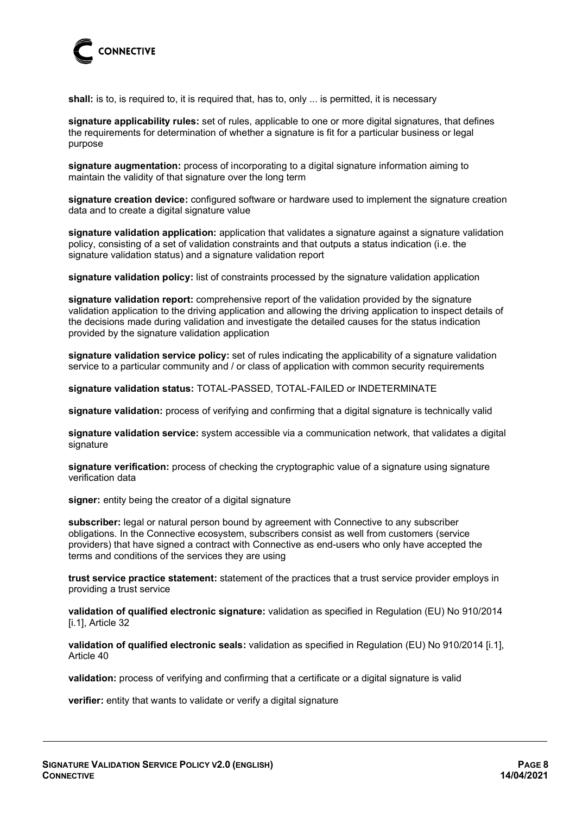# **CONNECTIVE**

**shall:** is to, is required to, it is required that, has to, only ... is permitted, it is necessary

**signature applicability rules:** set of rules, applicable to one or more digital signatures, that defines the requirements for determination of whether a signature is fit for a particular business or legal purpose

**signature augmentation:** process of incorporating to a digital signature information aiming to maintain the validity of that signature over the long term

**signature creation device:** configured software or hardware used to implement the signature creation data and to create a digital signature value

**signature validation application:** application that validates a signature against a signature validation policy, consisting of a set of validation constraints and that outputs a status indication (i.e. the signature validation status) and a signature validation report

**signature validation policy:** list of constraints processed by the signature validation application

**signature validation report:** comprehensive report of the validation provided by the signature validation application to the driving application and allowing the driving application to inspect details of the decisions made during validation and investigate the detailed causes for the status indication provided by the signature validation application

**signature validation service policy:** set of rules indicating the applicability of a signature validation service to a particular community and / or class of application with common security requirements

**signature validation status:** TOTAL-PASSED, TOTAL-FAILED or INDETERMINATE

**signature validation:** process of verifying and confirming that a digital signature is technically valid

**signature validation service:** system accessible via a communication network, that validates a digital signature

**signature verification:** process of checking the cryptographic value of a signature using signature verification data

**signer:** entity being the creator of a digital signature

**subscriber:** legal or natural person bound by agreement with Connective to any subscriber obligations. In the Connective ecosystem, subscribers consist as well from customers (service providers) that have signed a contract with Connective as end-users who only have accepted the terms and conditions of the services they are using

**trust service practice statement:** statement of the practices that a trust service provider employs in providing a trust service

**validation of qualified electronic signature:** validation as specified in Regulation (EU) No 910/2014 [i.1], Article 32

**validation of qualified electronic seals:** validation as specified in Regulation (EU) No 910/2014 [i.1], Article 40

**validation:** process of verifying and confirming that a certificate or a digital signature is valid

**verifier:** entity that wants to validate or verify a digital signature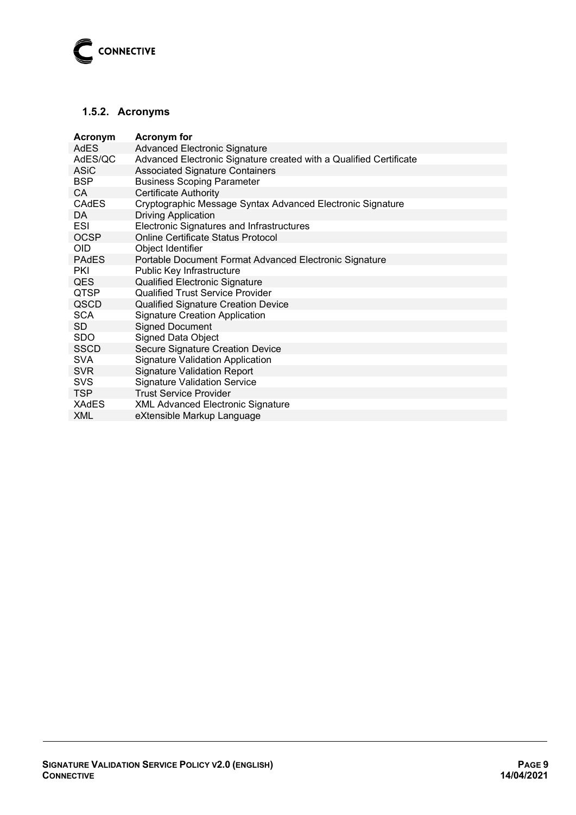

### <span id="page-8-0"></span>**1.5.2. Acronyms**

| Acronym      | Acronym for                                                        |
|--------------|--------------------------------------------------------------------|
| <b>AdES</b>  | Advanced Electronic Signature                                      |
| AdES/QC      | Advanced Electronic Signature created with a Qualified Certificate |
| <b>ASiC</b>  | <b>Associated Signature Containers</b>                             |
| <b>BSP</b>   | <b>Business Scoping Parameter</b>                                  |
| CA.          | <b>Certificate Authority</b>                                       |
| <b>CAdES</b> | Cryptographic Message Syntax Advanced Electronic Signature         |
| DA.          | <b>Driving Application</b>                                         |
| <b>ESI</b>   | Electronic Signatures and Infrastructures                          |
| <b>OCSP</b>  | Online Certificate Status Protocol                                 |
| <b>OID</b>   | Object Identifier                                                  |
| <b>PAdES</b> | Portable Document Format Advanced Electronic Signature             |
| <b>PKI</b>   | Public Key Infrastructure                                          |
| <b>QES</b>   | <b>Qualified Electronic Signature</b>                              |
| QTSP         | <b>Qualified Trust Service Provider</b>                            |
| QSCD         | <b>Qualified Signature Creation Device</b>                         |
| <b>SCA</b>   | <b>Signature Creation Application</b>                              |
| <b>SD</b>    | <b>Signed Document</b>                                             |
| <b>SDO</b>   | <b>Signed Data Object</b>                                          |
| <b>SSCD</b>  | <b>Secure Signature Creation Device</b>                            |
| <b>SVA</b>   | <b>Signature Validation Application</b>                            |
| <b>SVR</b>   | <b>Signature Validation Report</b>                                 |
| <b>SVS</b>   | <b>Signature Validation Service</b>                                |
| <b>TSP</b>   | <b>Trust Service Provider</b>                                      |
| <b>XAdES</b> | <b>XML Advanced Electronic Signature</b>                           |
| <b>XML</b>   | eXtensible Markup Language                                         |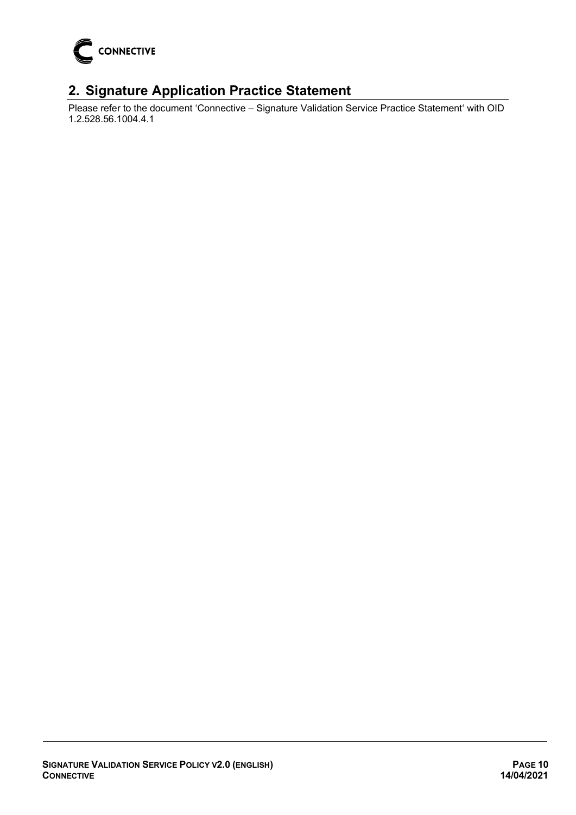

# <span id="page-9-0"></span>**2. Signature Application Practice Statement**

Please refer to the document 'Connective – Signature Validation Service Practice Statement' with OID 1.2.528.56.1004.4.1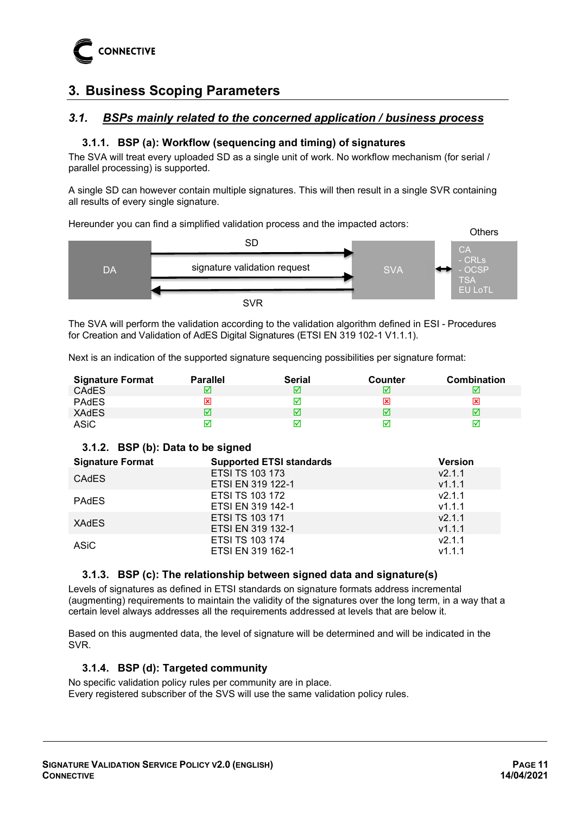## <span id="page-10-0"></span>**3. Business Scoping Parameters**

#### <span id="page-10-2"></span><span id="page-10-1"></span>*3.1. BSPs mainly related to the concerned application / business process*

#### **3.1.1. BSP (a): Workflow (sequencing and timing) of signatures**

The SVA will treat every uploaded SD as a single unit of work. No workflow mechanism (for serial / parallel processing) is supported.

A single SD can however contain multiple signatures. This will then result in a single SVR containing all results of every single signature.

Hereunder you can find a simplified validation process and the impacted actors:



The SVA will perform the validation according to the validation algorithm defined in ESI - Procedures for Creation and Validation of AdES Digital Signatures (ETSI EN 319 102-1 V1.1.1).

Next is an indication of the supported signature sequencing possibilities per signature format:

| <b>Signature Format</b> | <b>Parallel</b> | <b>Serial</b> | Counter | <b>Combination</b> |
|-------------------------|-----------------|---------------|---------|--------------------|
| <b>CAdES</b>            |                 |               | ا⊽      |                    |
| <b>PAdES</b>            | ⊠               |               | ⊠       | 図                  |
| <b>XAdES</b>            |                 |               | ⊠       |                    |
| ASiC                    |                 |               | ⊽       |                    |

#### <span id="page-10-3"></span>**3.1.2. BSP (b): Data to be signed**

| <b>Signature Format</b> | <b>Supported ETSI standards</b> | <b>Version</b> |
|-------------------------|---------------------------------|----------------|
| <b>CAdES</b>            | <b>ETSI TS 103 173</b>          | V2.1.1         |
|                         | ETSI EN 319 122-1               | V1.1.1         |
| <b>PAdES</b>            | <b>ETSI TS 103 172</b>          | V2.1.1         |
|                         | ETSI EN 319 142-1               | v1.1.1         |
| XAdES                   | <b>ETSI TS 103 171</b>          | V2.1.1         |
|                         | ETSI EN 319 132-1               | V1.1.1         |
| ASiC                    | <b>ETSI TS 103 174</b>          | V2.1.1         |
|                         | ETSI EN 319 162-1               | V1.1.1         |

#### <span id="page-10-4"></span>**3.1.3. BSP (c): The relationship between signed data and signature(s)**

Levels of signatures as defined in ETSI standards on signature formats address incremental (augmenting) requirements to maintain the validity of the signatures over the long term, in a way that a certain level always addresses all the requirements addressed at levels that are below it.

Based on this augmented data, the level of signature will be determined and will be indicated in the SVR.

#### <span id="page-10-5"></span>**3.1.4. BSP (d): Targeted community**

No specific validation policy rules per community are in place. Every registered subscriber of the SVS will use the same validation policy rules.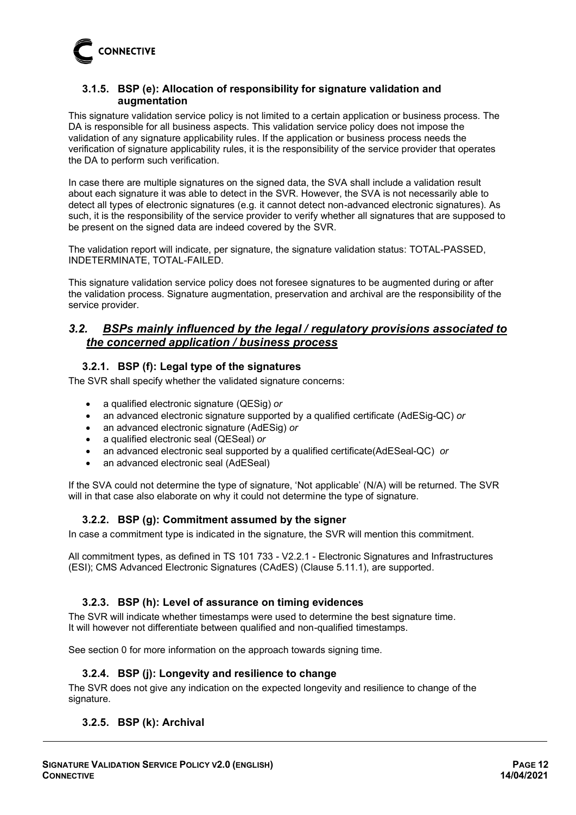

#### <span id="page-11-0"></span>**3.1.5. BSP (e): Allocation of responsibility for signature validation and augmentation**

This signature validation service policy is not limited to a certain application or business process. The DA is responsible for all business aspects. This validation service policy does not impose the validation of any signature applicability rules. If the application or business process needs the verification of signature applicability rules, it is the responsibility of the service provider that operates the DA to perform such verification.

In case there are multiple signatures on the signed data, the SVA shall include a validation result about each signature it was able to detect in the SVR. However, the SVA is not necessarily able to detect all types of electronic signatures (e.g. it cannot detect non-advanced electronic signatures). As such, it is the responsibility of the service provider to verify whether all signatures that are supposed to be present on the signed data are indeed covered by the SVR.

The validation report will indicate, per signature, the signature validation status: TOTAL-PASSED, INDETERMINATE, TOTAL-FAILED.

This signature validation service policy does not foresee signatures to be augmented during or after the validation process. Signature augmentation, preservation and archival are the responsibility of the service provider.

#### <span id="page-11-1"></span>*3.2. BSPs mainly influenced by the legal / regulatory provisions associated to the concerned application / business process*

#### <span id="page-11-2"></span>**3.2.1. BSP (f): Legal type of the signatures**

The SVR shall specify whether the validated signature concerns:

- a qualified electronic signature (QESig) *or*
- an advanced electronic signature supported by a qualified certificate (AdESig-QC) *or*
- an advanced electronic signature (AdESig) *or*
- a qualified electronic seal (QESeal) *or*
- an advanced electronic seal supported by a qualified certificate(AdESeal-QC) *or*
- an advanced electronic seal (AdESeal)

If the SVA could not determine the type of signature, 'Not applicable' (N/A) will be returned. The SVR will in that case also elaborate on why it could not determine the type of signature.

#### <span id="page-11-3"></span>**3.2.2. BSP (g): Commitment assumed by the signer**

In case a commitment type is indicated in the signature, the SVR will mention this commitment.

All commitment types, as defined in TS 101 733 - V2.2.1 - Electronic Signatures and Infrastructures (ESI); CMS Advanced Electronic Signatures (CAdES) (Clause 5.11.1), are supported.

#### <span id="page-11-4"></span>**3.2.3. BSP (h): Level of assurance on timing evidences**

The SVR will indicate whether timestamps were used to determine the best signature time. It will however not differentiate between qualified and non-qualified timestamps.

<span id="page-11-5"></span>See section [0](#page-14-4) for more information on the approach towards signing time.

#### **3.2.4. BSP (j): Longevity and resilience to change**

The SVR does not give any indication on the expected longevity and resilience to change of the signature.

#### <span id="page-11-6"></span>**3.2.5. BSP (k): Archival**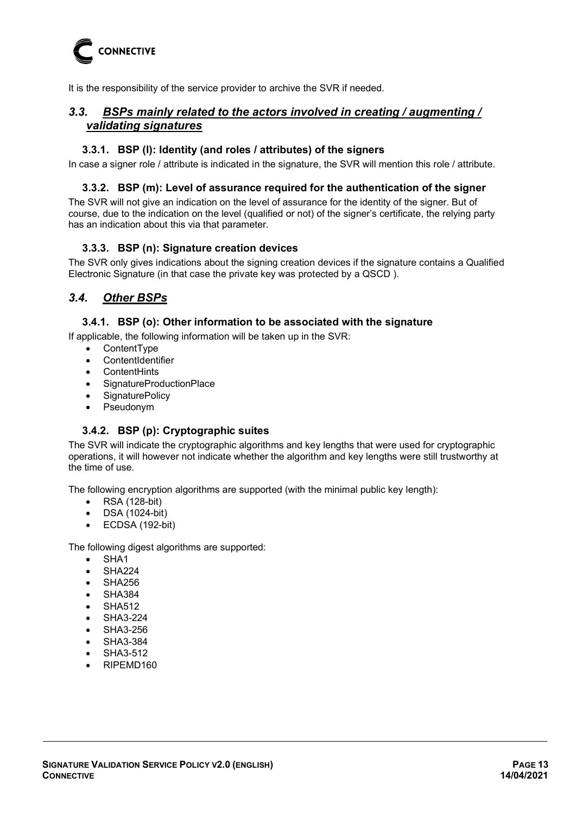

<span id="page-12-0"></span>It is the responsibility of the service provider to archive the SVR if needed.

#### *3.3. BSPs mainly related to the actors involved in creating / augmenting / validating signatures*

#### <span id="page-12-1"></span>**3.3.1. BSP (l): Identity (and roles / attributes) of the signers**

<span id="page-12-2"></span>In case a signer role / attribute is indicated in the signature, the SVR will mention this role / attribute.

#### **3.3.2. BSP (m): Level of assurance required for the authentication of the signer**

The SVR will not give an indication on the level of assurance for the identity of the signer. But of course, due to the indication on the level (qualified or not) of the signer's certificate, the relying party has an indication about this via that parameter.

#### <span id="page-12-3"></span>**3.3.3. BSP (n): Signature creation devices**

The SVR only gives indications about the signing creation devices if the signature contains a Qualified Electronic Signature (in that case the private key was protected by a QSCD ).

#### <span id="page-12-4"></span>*3.4. Other BSPs*

#### <span id="page-12-5"></span>**3.4.1. BSP (o): Other information to be associated with the signature**

If applicable, the following information will be taken up in the SVR:

- ContentType
- ContentIdentifier
- **ContentHints**
- SignatureProductionPlace
- **SignaturePolicy**
- Pseudonym

#### <span id="page-12-6"></span>**3.4.2. BSP (p): Cryptographic suites**

The SVR will indicate the cryptographic algorithms and key lengths that were used for cryptographic operations, it will however not indicate whether the algorithm and key lengths were still trustworthy at the time of use.

The following encryption algorithms are supported (with the minimal public key length):

- RSA (128-bit)
- DSA (1024-bit)
- ECDSA (192-bit)

The following digest algorithms are supported:

- SHA<sub>1</sub>
- SHA<sub>224</sub>
- SHA256
- SHA384
- **SHA512**
- SHA3-224
- SHA3-256
- SHA3-384
- SHA3-512
- RIPEMD160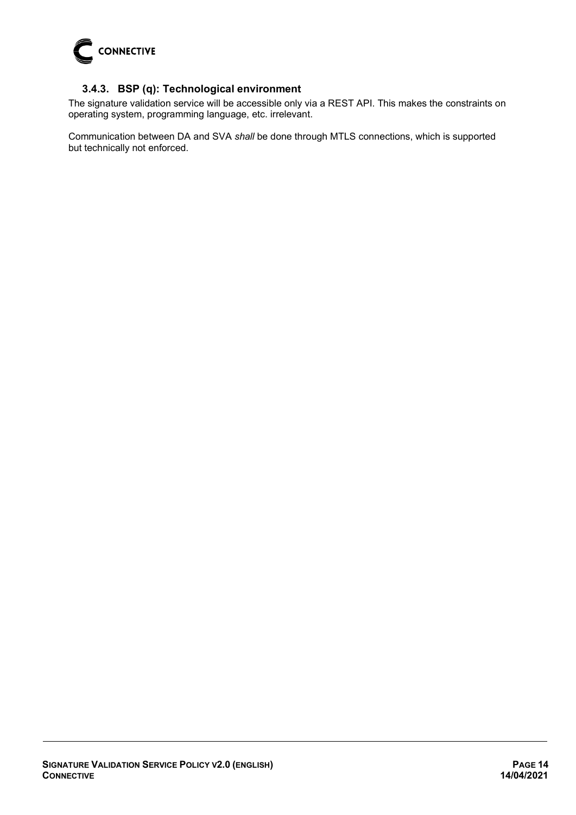

#### **3.4.3. BSP (q): Technological environment**

<span id="page-13-0"></span>The signature validation service will be accessible only via a REST API. This makes the constraints on operating system, programming language, etc. irrelevant.

Communication between DA and SVA *shall* be done through MTLS connections, which is supported but technically not enforced.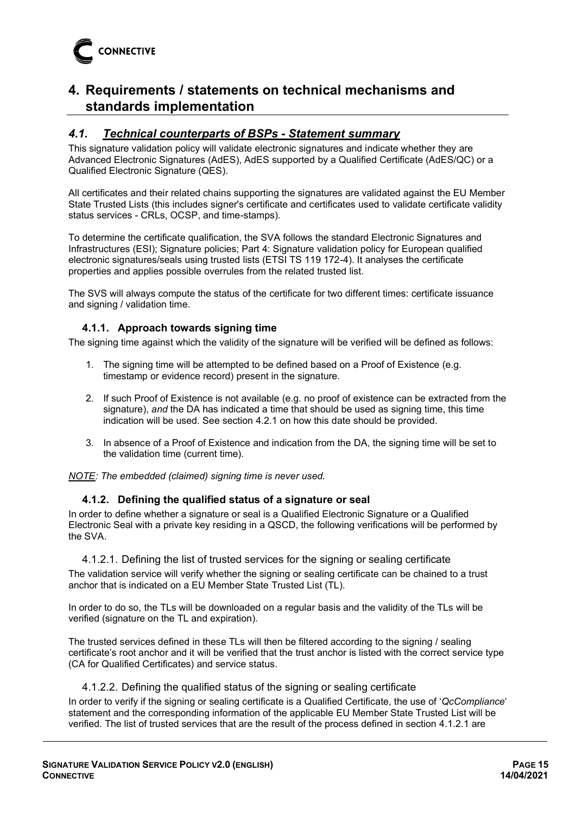

## <span id="page-14-0"></span>**4. Requirements / statements on technical mechanisms and standards implementation**

#### <span id="page-14-1"></span>*4.1. Technical counterparts of BSPs - Statement summary*

This signature validation policy will validate electronic signatures and indicate whether they are Advanced Electronic Signatures (AdES), AdES supported by a Qualified Certificate (AdES/QC) or a Qualified Electronic Signature (QES).

All certificates and their related chains supporting the signatures are validated against the EU Member State Trusted Lists (this includes signer's certificate and certificates used to validate certificate validity status services - CRLs, OCSP, and time-stamps).

<span id="page-14-4"></span>To determine the certificate qualification, the SVA follows the standard Electronic Signatures and Infrastructures (ESI); Signature policies; Part 4: Signature validation policy for European qualified electronic signatures/seals using trusted lists (ETSI TS 119 172-4). It analyses the certificate properties and applies possible overrules from the related trusted list.

The SVS will always compute the status of the certificate for two different times: certificate issuance and signing / validation time.

#### <span id="page-14-2"></span>**4.1.1. Approach towards signing time**

The signing time against which the validity of the signature will be verified will be defined as follows:

- 1. The signing time will be attempted to be defined based on a Proof of Existence (e.g. timestamp or evidence record) present in the signature.
- 2. If such Proof of Existence is not available (e.g. no proof of existence can be extracted from the signature), *and* the DA has indicated a time that should be used as signing time, this time indication will be used. See section [4.2.1](#page-16-1) on how this date should be provided.
- 3. In absence of a Proof of Existence and indication from the DA, the signing time will be set to the validation time (current time).

<span id="page-14-3"></span>*NOTE: The embedded (claimed) signing time is never used.* 

#### **4.1.2. Defining the qualified status of a signature or seal**

In order to define whether a signature or seal is a Qualified Electronic Signature or a Qualified Electronic Seal with a private key residing in a QSCD, the following verifications will be performed by the SVA.

#### <span id="page-14-5"></span>4.1.2.1. Defining the list of trusted services for the signing or sealing certificate

The validation service will verify whether the signing or sealing certificate can be chained to a trust anchor that is indicated on a EU Member State Trusted List (TL).

In order to do so, the TLs will be downloaded on a regular basis and the validity of the TLs will be verified (signature on the TL and expiration).

The trusted services defined in these TLs will then be filtered according to the signing / sealing certificate's root anchor and it will be verified that the trust anchor is listed with the correct service type (CA for Qualified Certificates) and service status.

#### 4.1.2.2. Defining the qualified status of the signing or sealing certificate

In order to verify if the signing or sealing certificate is a Qualified Certificate, the use of '*QcCompliance*' statement and the corresponding information of the applicable EU Member State Trusted List will be verified. The list of trusted services that are the result of the process defined in section [4.1.2.1](#page-14-5) are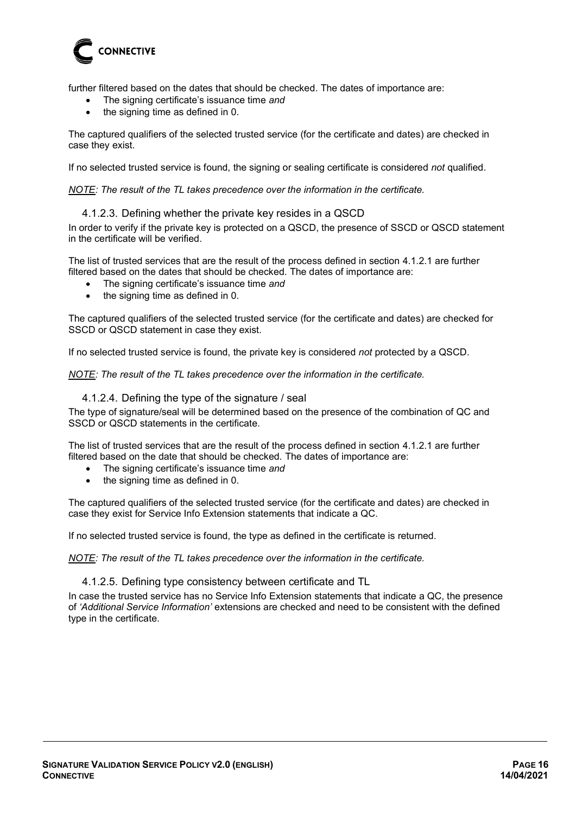

further filtered based on the dates that should be checked. The dates of importance are:

- The signing certificate's issuance time *and*
- the signing time as defined in [0.](#page-14-4)

The captured qualifiers of the selected trusted service (for the certificate and dates) are checked in case they exist.

If no selected trusted service is found, the signing or sealing certificate is considered *not* qualified.

*NOTE: The result of the TL takes precedence over the information in the certificate.* 

4.1.2.3. Defining whether the private key resides in a QSCD

In order to verify if the private key is protected on a QSCD, the presence of SSCD or QSCD statement in the certificate will be verified.

The list of trusted services that are the result of the process defined in section [4.1.2.1](#page-14-5) are further filtered based on the dates that should be checked. The dates of importance are:

- The signing certificate's issuance time *and*
- the signing time as defined in [0.](#page-14-4)

The captured qualifiers of the selected trusted service (for the certificate and dates) are checked for SSCD or QSCD statement in case they exist.

If no selected trusted service is found, the private key is considered *not* protected by a QSCD.

*NOTE: The result of the TL takes precedence over the information in the certificate.* 

#### 4.1.2.4. Defining the type of the signature / seal

The type of signature/seal will be determined based on the presence of the combination of QC and SSCD or QSCD statements in the certificate.

The list of trusted services that are the result of the process defined in section [4.1.2.1](#page-14-5) are further filtered based on the date that should be checked. The dates of importance are:

- The signing certificate's issuance time *and*
- the signing time as defined in [0.](#page-14-4)

The captured qualifiers of the selected trusted service (for the certificate and dates) are checked in case they exist for Service Info Extension statements that indicate a QC.

If no selected trusted service is found, the type as defined in the certificate is returned.

*NOTE: The result of the TL takes precedence over the information in the certificate.* 

#### 4.1.2.5. Defining type consistency between certificate and TL

In case the trusted service has no Service Info Extension statements that indicate a QC, the presence of *'Additional Service Information'* extensions are checked and need to be consistent with the defined type in the certificate.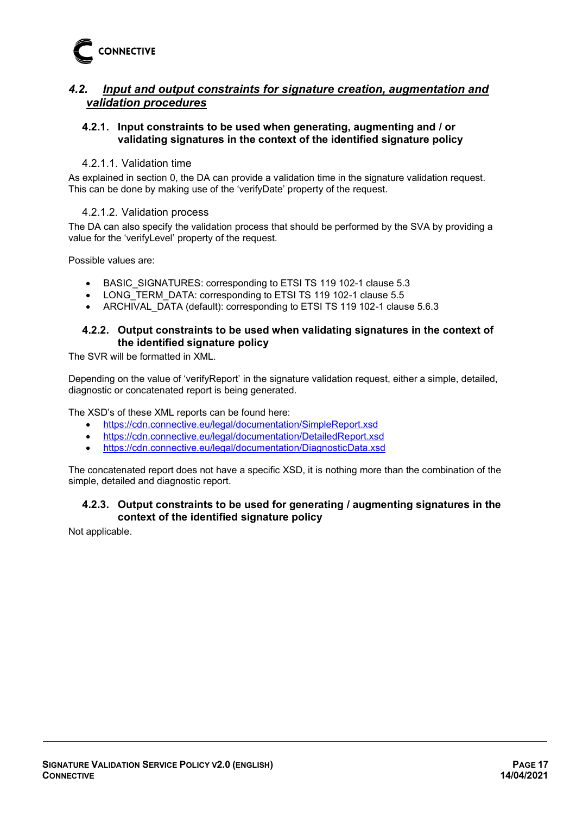

#### <span id="page-16-0"></span>*4.2. Input and output constraints for signature creation, augmentation and validation procedures*

#### <span id="page-16-1"></span>**4.2.1. Input constraints to be used when generating, augmenting and / or validating signatures in the context of the identified signature policy**

#### 4.2.1.1. Validation time

As explained in section [0,](#page-14-4) the DA can provide a validation time in the signature validation request. This can be done by making use of the 'verifyDate' property of the request.

#### 4.2.1.2. Validation process

The DA can also specify the validation process that should be performed by the SVA by providing a value for the 'verifyLevel' property of the request.

Possible values are:

- BASIC\_SIGNATURES: corresponding to ETSI TS 119 102-1 clause 5.3
- LONG\_TERM\_DATA: corresponding to ETSI TS 119 102-1 clause 5.5
- ARCHIVAL\_DATA (default): corresponding to ETSI TS 119 102-1 clause 5.6.3

#### <span id="page-16-2"></span>**4.2.2. Output constraints to be used when validating signatures in the context of the identified signature policy**

The SVR will be formatted in XML.

Depending on the value of 'verifyReport' in the signature validation request, either a simple, detailed, diagnostic or concatenated report is being generated.

The XSD's of these XML reports can be found here:

- <https://cdn.connective.eu/legal/documentation/SimpleReport.xsd>
- <https://cdn.connective.eu/legal/documentation/DetailedReport.xsd>
- <https://cdn.connective.eu/legal/documentation/DiagnosticData.xsd>

The concatenated report does not have a specific XSD, it is nothing more than the combination of the simple, detailed and diagnostic report.

#### <span id="page-16-3"></span>**4.2.3. Output constraints to be used for generating / augmenting signatures in the context of the identified signature policy**

Not applicable.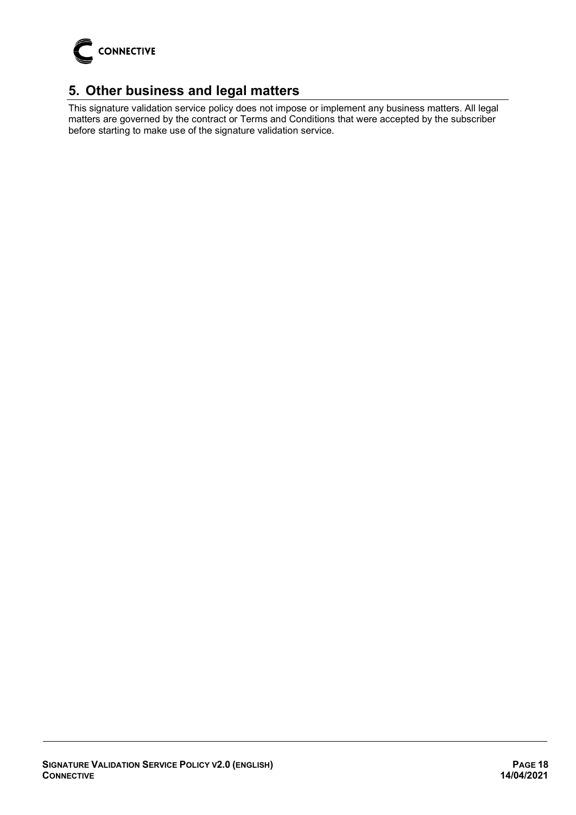

# <span id="page-17-0"></span>**5. Other business and legal matters**

This signature validation service policy does not impose or implement any business matters. All legal matters are governed by the contract or Terms and Conditions that were accepted by the subscriber before starting to make use of the signature validation service.